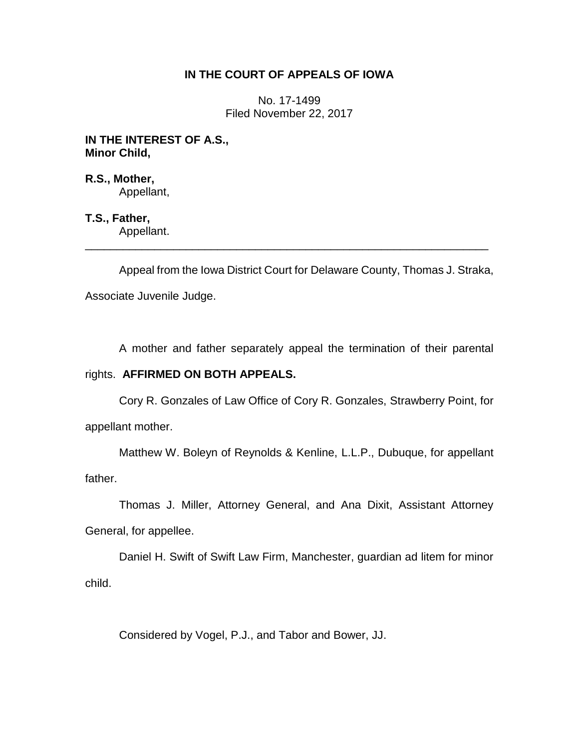# **IN THE COURT OF APPEALS OF IOWA**

No. 17-1499 Filed November 22, 2017

**IN THE INTEREST OF A.S., Minor Child,**

**R.S., Mother,** Appellant,

**T.S., Father,** Appellant.

Appeal from the Iowa District Court for Delaware County, Thomas J. Straka, Associate Juvenile Judge.

\_\_\_\_\_\_\_\_\_\_\_\_\_\_\_\_\_\_\_\_\_\_\_\_\_\_\_\_\_\_\_\_\_\_\_\_\_\_\_\_\_\_\_\_\_\_\_\_\_\_\_\_\_\_\_\_\_\_\_\_\_\_\_\_

A mother and father separately appeal the termination of their parental

## rights. **AFFIRMED ON BOTH APPEALS.**

Cory R. Gonzales of Law Office of Cory R. Gonzales, Strawberry Point, for appellant mother.

Matthew W. Boleyn of Reynolds & Kenline, L.L.P., Dubuque, for appellant father.

Thomas J. Miller, Attorney General, and Ana Dixit, Assistant Attorney General, for appellee.

Daniel H. Swift of Swift Law Firm, Manchester, guardian ad litem for minor child.

Considered by Vogel, P.J., and Tabor and Bower, JJ.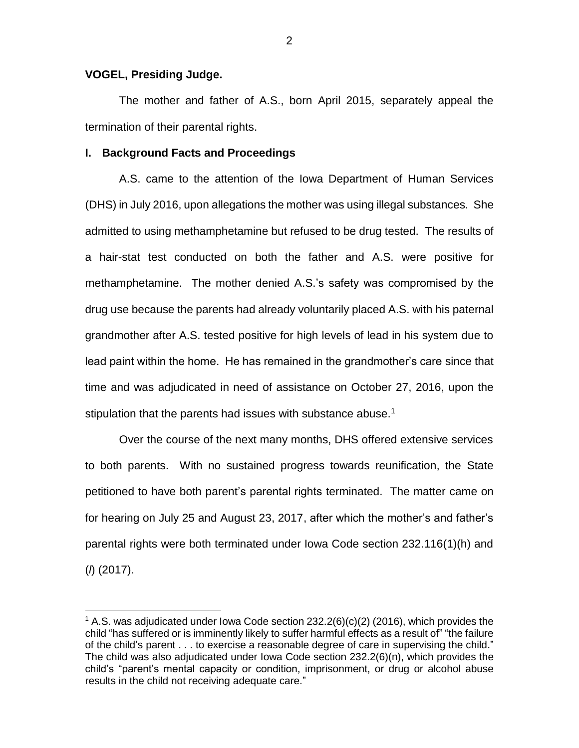## **VOGEL, Presiding Judge.**

 $\overline{a}$ 

The mother and father of A.S., born April 2015, separately appeal the termination of their parental rights.

#### **I. Background Facts and Proceedings**

A.S. came to the attention of the Iowa Department of Human Services (DHS) in July 2016, upon allegations the mother was using illegal substances. She admitted to using methamphetamine but refused to be drug tested. The results of a hair-stat test conducted on both the father and A.S. were positive for methamphetamine. The mother denied A.S.'s safety was compromised by the drug use because the parents had already voluntarily placed A.S. with his paternal grandmother after A.S. tested positive for high levels of lead in his system due to lead paint within the home. He has remained in the grandmother's care since that time and was adjudicated in need of assistance on October 27, 2016, upon the stipulation that the parents had issues with substance abuse.<sup>1</sup>

Over the course of the next many months, DHS offered extensive services to both parents. With no sustained progress towards reunification, the State petitioned to have both parent's parental rights terminated. The matter came on for hearing on July 25 and August 23, 2017, after which the mother's and father's parental rights were both terminated under Iowa Code section 232.116(1)(h) and (*l*) (2017).

2

<sup>&</sup>lt;sup>1</sup> A.S. was adjudicated under Iowa Code section  $232.2(6)(c)(2)$  (2016), which provides the child "has suffered or is imminently likely to suffer harmful effects as a result of" "the failure of the child's parent . . . to exercise a reasonable degree of care in supervising the child." The child was also adjudicated under Iowa Code section 232.2(6)(n), which provides the child's "parent's mental capacity or condition, imprisonment, or drug or alcohol abuse results in the child not receiving adequate care."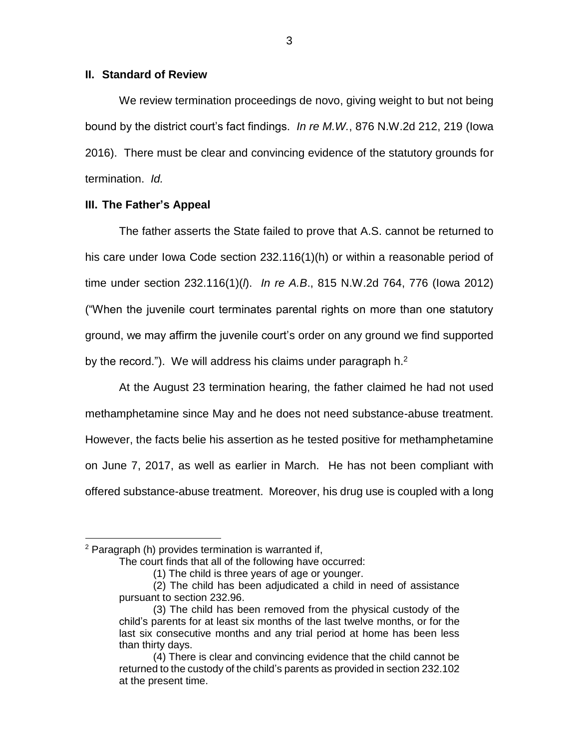## **II. Standard of Review**

We review termination proceedings de novo, giving weight to but not being bound by the district court's fact findings. *In re M.W.*, 876 N.W.2d 212, 219 (Iowa 2016). There must be clear and convincing evidence of the statutory grounds for termination. *Id.*

## **III. The Father's Appeal**

The father asserts the State failed to prove that A.S. cannot be returned to his care under Iowa Code section 232.116(1)(h) or within a reasonable period of time under section 232.116(1)(*l*). *In re A.B*., 815 N.W.2d 764, 776 (Iowa 2012) ("When the juvenile court terminates parental rights on more than one statutory ground, we may affirm the juvenile court's order on any ground we find supported by the record."). We will address his claims under paragraph  $h^2$ .

At the August 23 termination hearing, the father claimed he had not used methamphetamine since May and he does not need substance-abuse treatment. However, the facts belie his assertion as he tested positive for methamphetamine on June 7, 2017, as well as earlier in March. He has not been compliant with offered substance-abuse treatment. Moreover, his drug use is coupled with a long

 $\overline{a}$ 

 $2$  Paragraph (h) provides termination is warranted if,

The court finds that all of the following have occurred:

<sup>(1)</sup> The child is three years of age or younger.

<sup>(2)</sup> The child has been adjudicated a child in need of assistance pursuant to section 232.96.

<sup>(3)</sup> The child has been removed from the physical custody of the child's parents for at least six months of the last twelve months, or for the last six consecutive months and any trial period at home has been less than thirty days.

<sup>(4)</sup> There is clear and convincing evidence that the child cannot be returned to the custody of the child's parents as provided in section 232.102 at the present time.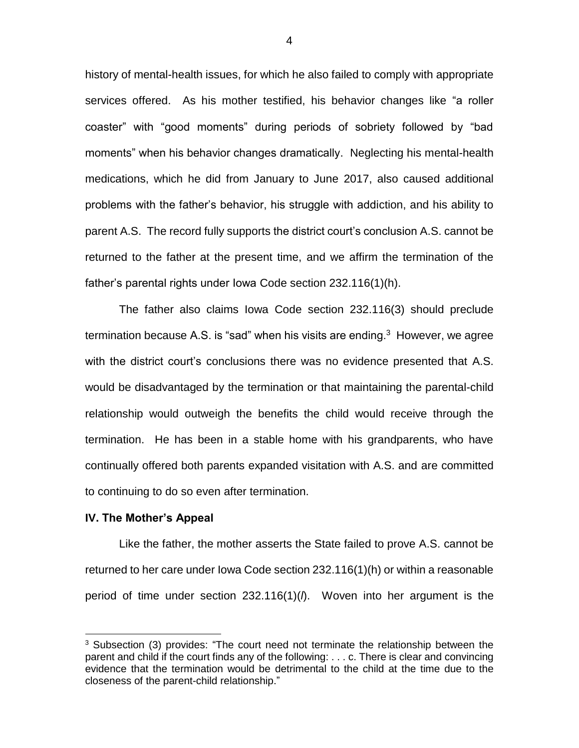history of mental-health issues, for which he also failed to comply with appropriate services offered. As his mother testified, his behavior changes like "a roller coaster" with "good moments" during periods of sobriety followed by "bad moments" when his behavior changes dramatically. Neglecting his mental-health medications, which he did from January to June 2017, also caused additional problems with the father's behavior, his struggle with addiction, and his ability to parent A.S. The record fully supports the district court's conclusion A.S. cannot be returned to the father at the present time, and we affirm the termination of the father's parental rights under Iowa Code section 232.116(1)(h).

The father also claims Iowa Code section 232.116(3) should preclude termination because A.S. is "sad" when his visits are ending. $3$  However, we agree with the district court's conclusions there was no evidence presented that A.S. would be disadvantaged by the termination or that maintaining the parental-child relationship would outweigh the benefits the child would receive through the termination. He has been in a stable home with his grandparents, who have continually offered both parents expanded visitation with A.S. and are committed to continuing to do so even after termination.

#### **IV. The Mother's Appeal**

 $\overline{a}$ 

Like the father, the mother asserts the State failed to prove A.S. cannot be returned to her care under Iowa Code section 232.116(1)(h) or within a reasonable period of time under section 232.116(1)(*l*). Woven into her argument is the

<sup>&</sup>lt;sup>3</sup> Subsection (3) provides: "The court need not terminate the relationship between the parent and child if the court finds any of the following: . . . c. There is clear and convincing evidence that the termination would be detrimental to the child at the time due to the closeness of the parent-child relationship."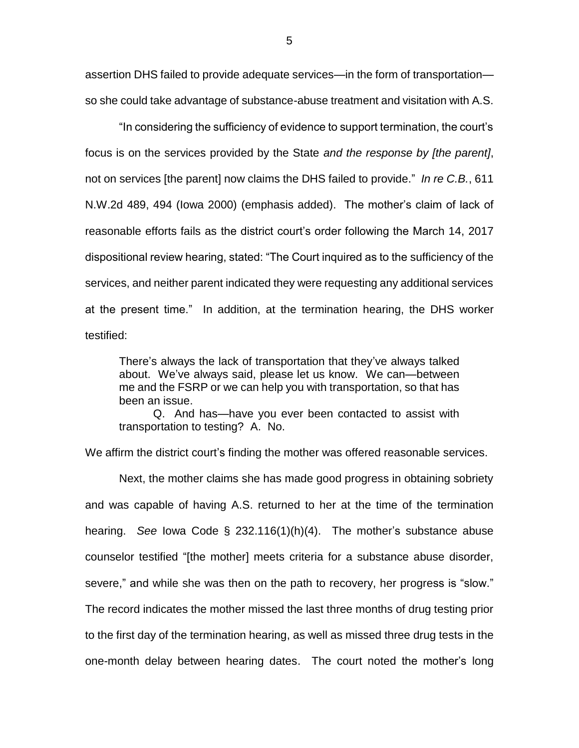assertion DHS failed to provide adequate services—in the form of transportation so she could take advantage of substance-abuse treatment and visitation with A.S.

"In considering the sufficiency of evidence to support termination, the court's focus is on the services provided by the State *and the response by [the parent]*, not on services [the parent] now claims the DHS failed to provide." *In re C.B.*, 611 N.W.2d 489, 494 (Iowa 2000) (emphasis added). The mother's claim of lack of reasonable efforts fails as the district court's order following the March 14, 2017 dispositional review hearing, stated: "The Court inquired as to the sufficiency of the services, and neither parent indicated they were requesting any additional services at the present time." In addition, at the termination hearing, the DHS worker testified:

There's always the lack of transportation that they've always talked about. We've always said, please let us know. We can—between me and the FSRP or we can help you with transportation, so that has been an issue.

Q. And has—have you ever been contacted to assist with transportation to testing? A. No.

We affirm the district court's finding the mother was offered reasonable services.

Next, the mother claims she has made good progress in obtaining sobriety and was capable of having A.S. returned to her at the time of the termination hearing. *See* Iowa Code § 232.116(1)(h)(4). The mother's substance abuse counselor testified "[the mother] meets criteria for a substance abuse disorder, severe," and while she was then on the path to recovery, her progress is "slow." The record indicates the mother missed the last three months of drug testing prior to the first day of the termination hearing, as well as missed three drug tests in the one-month delay between hearing dates. The court noted the mother's long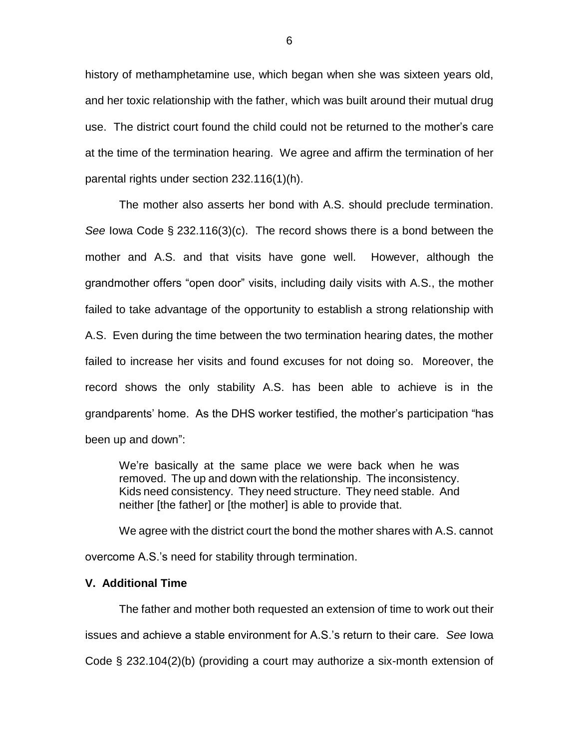history of methamphetamine use, which began when she was sixteen years old, and her toxic relationship with the father, which was built around their mutual drug use. The district court found the child could not be returned to the mother's care at the time of the termination hearing. We agree and affirm the termination of her parental rights under section 232.116(1)(h).

The mother also asserts her bond with A.S. should preclude termination. *See* Iowa Code § 232.116(3)(c). The record shows there is a bond between the mother and A.S. and that visits have gone well. However, although the grandmother offers "open door" visits, including daily visits with A.S., the mother failed to take advantage of the opportunity to establish a strong relationship with A.S. Even during the time between the two termination hearing dates, the mother failed to increase her visits and found excuses for not doing so. Moreover, the record shows the only stability A.S. has been able to achieve is in the grandparents' home. As the DHS worker testified, the mother's participation "has been up and down":

We're basically at the same place we were back when he was removed. The up and down with the relationship. The inconsistency. Kids need consistency. They need structure. They need stable. And neither [the father] or [the mother] is able to provide that.

We agree with the district court the bond the mother shares with A.S. cannot overcome A.S.'s need for stability through termination.

# **V. Additional Time**

The father and mother both requested an extension of time to work out their issues and achieve a stable environment for A.S.'s return to their care. *See* Iowa Code § 232.104(2)(b) (providing a court may authorize a six-month extension of